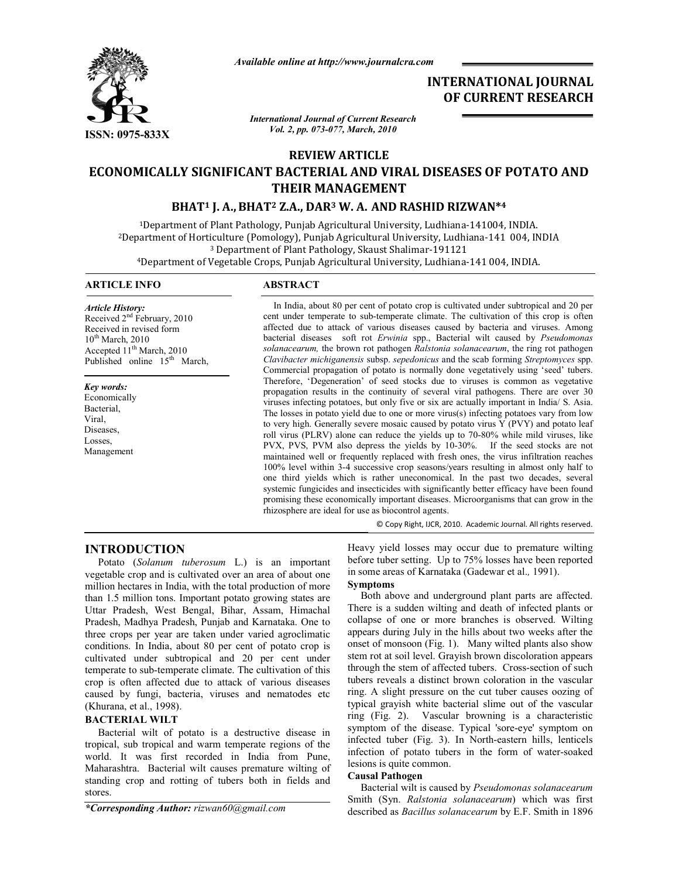

*Available online at http://www.journalcra.com*

# **INTERNATIONAL JOURNAL OF CURRENT RESEARCH**

*International Journal of Current Research Vol. 2, pp. 073-077, March, 2010*

# **REVIEW ARTICLE**

# **ECONOMICALLY SIGNIFICANT BACTERIAL AND VIRAL DISEASES OF POTATO AND THEIR MANAGEMENT**

# **BHAT1 J. A.,BHAT2 Z.A., DAR3 W. A. AND RASHID RIZWAN\*4**

1Department of Plant Pathology, Punjab Agricultural University, Ludhiana-141004, INDIA. 2Department of Horticulture (Pomology), Punjab Agricultural University, Ludhiana-141 004, INDIA <sup>3</sup> Department of Plant Pathology, Skaust Shalimar-191121 4Department of Vegetable Crops, Punjab Agricultural University, Ludhiana-141 004, INDIA.

## **ARTICLE INFO ABSTRACT**

*Article History:* Received  $2<sup>nd</sup>$  February, 2010 Received in revised form  $10^{th}$  March, 2010 Accepted  $11<sup>th</sup>$  March, 2010 Published online 15<sup>th</sup> March,

*Key words:* Economically Bacterial, Viral, Diseases, Losses,

Management

 In India, about 80 per cent of potato crop is cultivated under subtropical and 20 per cent under temperate to sub-temperate climate. The cultivation of this crop is often affected due to attack of various diseases caused by bacteria and viruses. Among bacterial diseases soft rot *Erwinia* spp., Bacterial wilt caused by *Pseudomonas solanacearum,* the brown rot pathogen *Ralstonia solanacearum*, the ring rot pathogen *Clavibacter michiganensis* subsp. *sepedonicus* and the scab forming *Streptomyces* spp. Commercial propagation of potato is normally done vegetatively using 'seed' tubers. Therefore, 'Degeneration' of seed stocks due to viruses is common as vegetative propagation results in the continuity of several viral pathogens. There are over 30 viruses infecting potatoes, but only five or six are actually important in India/ S. Asia. The losses in potato yield due to one or more virus(s) infecting potatoes vary from low to very high. Generally severe mosaic caused by potato virus Y (PVY) and potato leaf roll virus (PLRV) alone can reduce the yields up to 70-80% while mild viruses, like PVX, PVS, PVM also depress the yields by 10-30%. If the seed stocks are not maintained well or frequently replaced with fresh ones, the virus infiltration reaches 100% level within 3-4 successive crop seasons/years resulting in almost only half to one third yields which is rather uneconomical. In the past two decades, several systemic fungicides and insecticides with significantly better efficacy have been found promising these economically important diseases. Microorganisms that can grow in the rhizosphere are ideal for use as biocontrol agents.

© Copy Right, IJCR, 2010. Academic Journal. All rights reserved.

# **INTRODUCTION**

 Potato (*Solanum tuberosum* L.) is an important vegetable crop and is cultivated over an area of about one million hectares in India, with the total production of more than 1.5 million tons. Important potato growing states are Uttar Pradesh, West Bengal, Bihar, Assam, Himachal Pradesh, Madhya Pradesh, Punjab and Karnataka. One to three crops per year are taken under varied agroclimatic conditions. In India, about 80 per cent of potato crop is cultivated under subtropical and 20 per cent under temperate to sub-temperate climate. The cultivation of this crop is often affected due to attack of various diseases caused by fungi, bacteria, viruses and nematodes etc (Khurana, et al., 1998).

# **BACTERIAL WILT**

 Bacterial wilt of potato is a destructive disease in tropical, sub tropical and warm temperate regions of the world. It was first recorded in India from Pune, Maharashtra. Bacterial wilt causes premature wilting of standing crop and rotting of tubers both in fields and stores.

*\*Corresponding Author: rizwan60@gmail.com*

Heavy yield losses may occur due to premature wilting before tuber setting. Up to 75% losses have been reported in some areas of Karnataka (Gadewar et al.*,* 1991). **Symptoms**

 Both above and underground plant parts are affected. There is a sudden wilting and death of infected plants or collapse of one or more branches is observed. Wilting appears during July in the hills about two weeks after the onset of monsoon (Fig. 1). Many wilted plants also show stem rot at soil level. Grayish brown discoloration appears through the stem of affected tubers. Cross-section of such tubers reveals a distinct brown coloration in the vascular ring. A slight pressure on the cut tuber causes oozing of typical grayish white bacterial slime out of the vascular ring (Fig. 2). Vascular browning is a characteristic symptom of the disease. Typical 'sore-eye' symptom on infected tuber (Fig. 3). In North-eastern hills, lenticels infection of potato tubers in the form of water-soaked lesions is quite common.

#### **Causal Pathogen**

Bacterial wilt is caused by *Pseudomonas solanacearum* Smith (Syn. *Ralstonia solanacearum*) which was first described as *Bacillus solanacearum* by E.F. Smith in 1896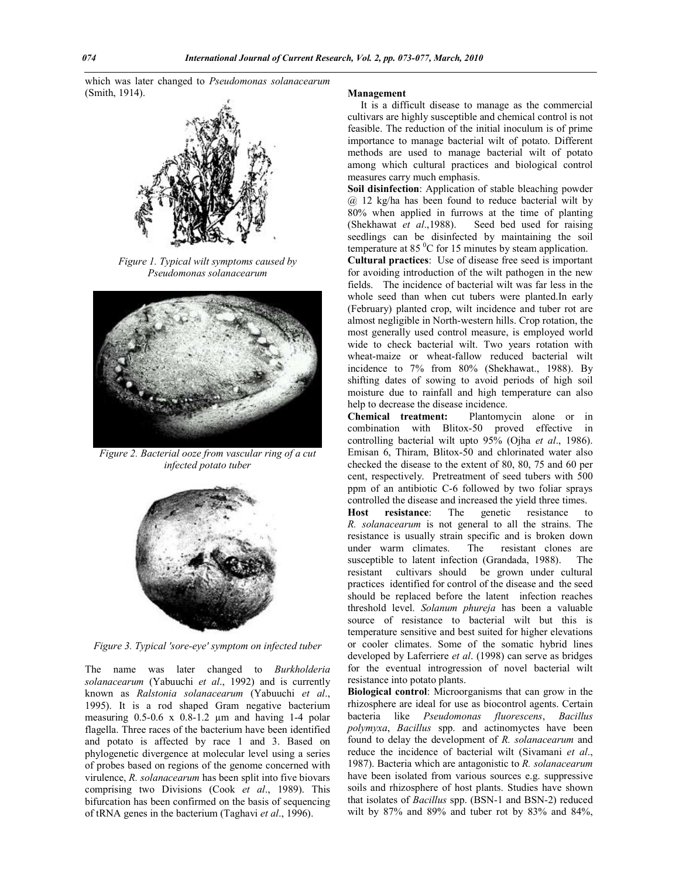which was later changed to *Pseudomonas solanacearum* (Smith, 1914).



*Figure 1. Typical wilt symptoms caused by Pseudomonas solanacearum*



*Figure 2. Bacterial ooze from vascular ring of a cut infected potato tuber*



*Figure 3. Typical 'sore-eye' symptom on infected tuber*

The name was later changed to *Burkholderia solanacearum* (Yabuuchi *et al*., 1992) and is currently known as *Ralstonia solanacearum* (Yabuuchi *et al*., 1995). It is a rod shaped Gram negative bacterium measuring 0.5-0.6 x 0.8-1.2 µm and having 1-4 polar flagella. Three races of the bacterium have been identified and potato is affected by race 1 and 3. Based on phylogenetic divergence at molecular level using a series of probes based on regions of the genome concerned with virulence, *R. solanacearum* has been split into five biovars comprising two Divisions (Cook *et al*., 1989). This bifurcation has been confirmed on the basis of sequencing of tRNA genes in the bacterium (Taghavi *et al*., 1996).

#### **Management**

 It is a difficult disease to manage as the commercial cultivars are highly susceptible and chemical control is not feasible. The reduction of the initial inoculum is of prime importance to manage bacterial wilt of potato. Different methods are used to manage bacterial wilt of potato among which cultural practices and biological control measures carry much emphasis.

**Soil disinfection**: Application of stable bleaching powder @ 12 kg/ha has been found to reduce bacterial wilt by 80% when applied in furrows at the time of planting (Shekhawat *et al*.,1988). Seed bed used for raising seedlings can be disinfected by maintaining the soil temperature at 85 $\mathrm{^{0}C}$  for 15 minutes by steam application.

**Cultural practices**: Use of disease free seed is important for avoiding introduction of the wilt pathogen in the new fields. The incidence of bacterial wilt was far less in the whole seed than when cut tubers were planted.In early (February) planted crop, wilt incidence and tuber rot are almost negligible in North-western hills. Crop rotation, the most generally used control measure, is employed world wide to check bacterial wilt. Two years rotation with wheat-maize or wheat-fallow reduced bacterial wilt incidence to 7% from 80% (Shekhawat., 1988). By shifting dates of sowing to avoid periods of high soil moisture due to rainfall and high temperature can also help to decrease the disease incidence.

**Chemical treatment:** Plantomycin alone or in combination with Blitox-50 proved effective in controlling bacterial wilt upto 95% (Ojha *et al*., 1986). Emisan 6, Thiram, Blitox-50 and chlorinated water also checked the disease to the extent of 80, 80, 75 and 60 per cent, respectively. Pretreatment of seed tubers with 500 ppm of an antibiotic C-6 followed by two foliar sprays controlled the disease and increased the yield three times.

**Host resistance**: The genetic resistance to *R. solanacearum* is not general to all the strains. The resistance is usually strain specific and is broken down under warm climates. The resistant clones are susceptible to latent infection (Grandada, 1988). The resistant cultivars should be grown under cultural practices identified for control of the disease and the seed should be replaced before the latent infection reaches threshold level. *Solanum phureja* has been a valuable source of resistance to bacterial wilt but this is temperature sensitive and best suited for higher elevations or cooler climates. Some of the somatic hybrid lines developed by Laferriere *et al*. (1998) can serve as bridges for the eventual introgression of novel bacterial wilt resistance into potato plants.

**Biological control**: Microorganisms that can grow in the rhizosphere are ideal for use as biocontrol agents. Certain bacteria like *Pseudomonas fluorescens*, *Bacillus polymyxa*, *Bacillus* spp. and actinomyctes have been found to delay the development of *R. solanacearum* and reduce the incidence of bacterial wilt (Sivamani *et al*., 1987). Bacteria which are antagonistic to *R. solanacearum* have been isolated from various sources e.g. suppressive soils and rhizosphere of host plants. Studies have shown that isolates of *Bacillus* spp. (BSN-1 and BSN-2) reduced wilt by 87% and 89% and tuber rot by 83% and 84%,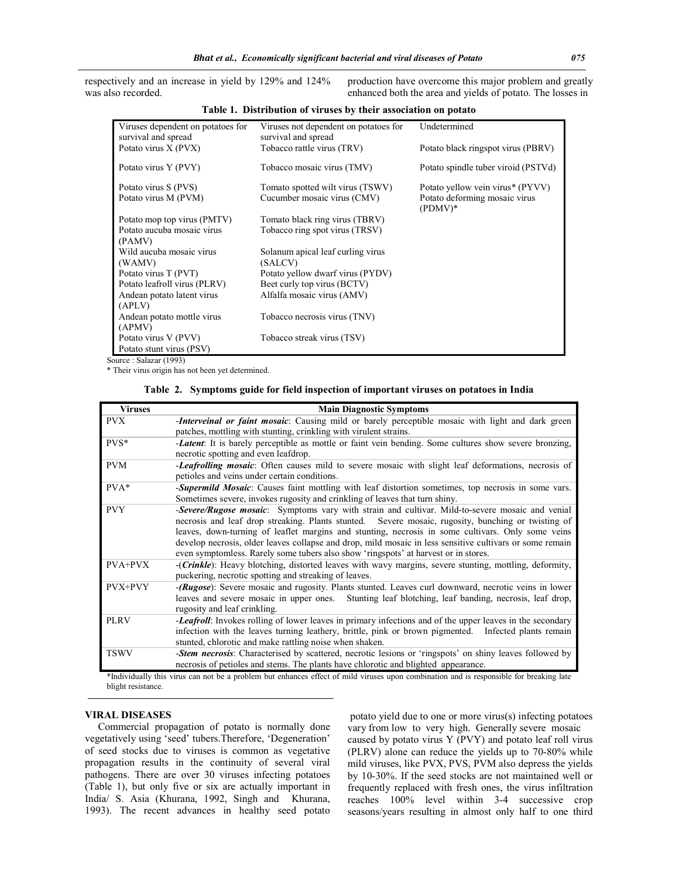respectively and an increase in yield by 129% and 124% was also recorded.

production have overcome this major problem and greatly enhanced both the area and yields of potato. The losses in

| Viruses dependent on potatoes for<br>survival and spread | Viruses not dependent on potatoes for<br>survival and spread | Undetermined                               |
|----------------------------------------------------------|--------------------------------------------------------------|--------------------------------------------|
| Potato virus X (PVX)                                     | Tobacco rattle virus (TRV)                                   | Potato black ringspot virus (PBRV)         |
| Potato virus Y (PVY)                                     | Tobacco mosaic virus (TMV)                                   | Potato spindle tuber viroid (PSTVd)        |
| Potato virus S (PVS)                                     | Tomato spotted wilt virus (TSWV)                             | Potato yellow vein virus* (PYVV)           |
| Potato virus M (PVM)                                     | Cucumber mosaic virus (CMV)                                  | Potato deforming mosaic virus<br>$(PDMV)*$ |
| Potato mop top virus (PMTV)                              | Tomato black ring virus (TBRV)                               |                                            |
| Potato aucuba mosaic virus                               | Tobacco ring spot virus (TRSV)                               |                                            |
| (PAMV)                                                   |                                                              |                                            |
| Wild aucuba mosaic virus                                 | Solanum apical leaf curling virus                            |                                            |
| (WAMV)                                                   | (SALCV)                                                      |                                            |
| Potato virus T (PVT)                                     | Potato yellow dwarf virus (PYDV)                             |                                            |
| Potato leafroll virus (PLRV)                             | Beet curly top virus (BCTV)                                  |                                            |
| Andean potato latent virus                               | Alfalfa mosaic virus (AMV)                                   |                                            |
| (APLV)                                                   |                                                              |                                            |
| Andean potato mottle virus                               | Tobacco necrosis virus (TNV)                                 |                                            |
| (APMV)                                                   |                                                              |                                            |
| Potato virus V (PVV)                                     | Tobacco streak virus (TSV)                                   |                                            |
| Potato stunt virus (PSV)                                 |                                                              |                                            |

**Table 1. Distribution of viruses by their association on potato**

Source : Salazar (1993)

\* Their virus origin has not been yet determined.

| <b>Viruses</b>     | <b>Main Diagnostic Symptoms</b>                                                                                                                                                                                                                                                                                                                                                                                                                                                                               |
|--------------------|---------------------------------------------------------------------------------------------------------------------------------------------------------------------------------------------------------------------------------------------------------------------------------------------------------------------------------------------------------------------------------------------------------------------------------------------------------------------------------------------------------------|
| <b>PVX</b>         | -Interveinal or faint mosaic: Causing mild or barely perceptible mosaic with light and dark green<br>patches, mottling with stunting, crinkling with virulent strains.                                                                                                                                                                                                                                                                                                                                        |
| PVS*               | <b>-Latent:</b> It is barely perceptible as mottle or faint vein bending. Some cultures show severe bronzing,<br>necrotic spotting and even leafdrop.                                                                                                                                                                                                                                                                                                                                                         |
| <b>PVM</b>         | -Leafrolling mosaic: Often causes mild to severe mosaic with slight leaf deformations, necrosis of<br>petioles and veins under certain conditions.                                                                                                                                                                                                                                                                                                                                                            |
| $PVA*$             | -Supermild Mosaic: Causes faint mottling with leaf distortion sometimes, top necrosis in some vars.<br>Sometimes severe, invokes rugosity and crinkling of leaves that turn shiny.                                                                                                                                                                                                                                                                                                                            |
| <b>PVY</b>         | -Severe/Rugose mosaic: Symptoms vary with strain and cultivar. Mild-to-severe mosaic and venial<br>necrosis and leaf drop streaking. Plants stunted. Severe mosaic, rugosity, bunching or twisting of<br>leaves, down-turning of leaflet margins and stunting, necrosis in some cultivars. Only some veins<br>develop necrosis, older leaves collapse and drop, mild mosaic in less sensitive cultivars or some remain<br>even symptomless. Rarely some tubers also show 'ringspots' at harvest or in stores. |
| PVA+PVX            | ( <i>Crinkle</i> ): Heavy blotching, distorted leaves with wavy margins, severe stunting, mottling, deformity,<br>puckering, necrotic spotting and streaking of leaves.                                                                                                                                                                                                                                                                                                                                       |
| PVX+PVY            | -(Rugose): Severe mosaic and rugosity. Plants stunted. Leaves curl downward, necrotic veins in lower<br>leaves and severe mosaic in upper ones. Stunting leaf blotching, leaf banding, necrosis, leaf drop,<br>rugosity and leaf crinkling.                                                                                                                                                                                                                                                                   |
| <b>PLRV</b>        | -Leafroll: Invokes rolling of lower leaves in primary infections and of the upper leaves in the secondary<br>infection with the leaves turning leathery, brittle, pink or brown pigmented. Infected plants remain<br>stunted, chlorotic and make rattling noise when shaken.                                                                                                                                                                                                                                  |
| <b>TSWV</b>        | -Stem necrosis: Characterised by scattered, necrotic lesions or 'ringspots' on shiny leaves followed by<br>necrosis of petioles and stems. The plants have chlorotic and blighted appearance.                                                                                                                                                                                                                                                                                                                 |
| blight resistance. | *Individually this virus can not be a problem but enhances effect of mild viruses upon combination and is responsible for breaking late                                                                                                                                                                                                                                                                                                                                                                       |

### **VIRAL DISEASES**

 Commercial propagation of potato is normally done vegetatively using 'seed' tubers.Therefore, 'Degeneration' of seed stocks due to viruses is common as vegetative propagation results in the continuity of several viral pathogens. There are over 30 viruses infecting potatoes (Table 1), but only five or six are actually important in India/ S. Asia (Khurana, 1992, Singh and Khurana, 1993). The recent advances in healthy seed potato

potato yield due to one or more virus(s) infecting potatoes vary from low to very high. Generally severe mosaic caused by potato virus Y (PVY) and potato leaf roll virus (PLRV) alone can reduce the yields up to 70-80% while mild viruses, like PVX, PVS, PVM also depress the yields by 10-30%. If the seed stocks are not maintained well or frequently replaced with fresh ones, the virus infiltration reaches 100% level within 3-4 successive crop seasons/years resulting in almost only half to one third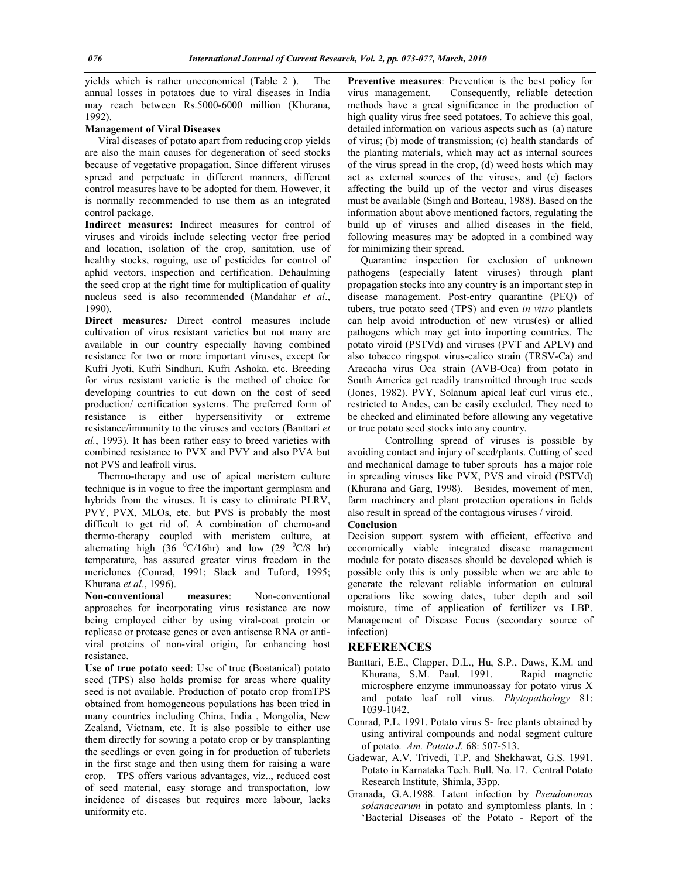yields which is rather uneconomical (Table 2 ). The annual losses in potatoes due to viral diseases in India may reach between Rs.5000-6000 million (Khurana, 1992).

#### **Management of Viral Diseases**

 Viral diseases of potato apart from reducing crop yields are also the main causes for degeneration of seed stocks because of vegetative propagation. Since different viruses spread and perpetuate in different manners, different control measures have to be adopted for them. However, it is normally recommended to use them as an integrated control package.

**Indirect measures:** Indirect measures for control of viruses and viroids include selecting vector free period and location, isolation of the crop, sanitation, use of healthy stocks, roguing, use of pesticides for control of aphid vectors, inspection and certification. Dehaulming the seed crop at the right time for multiplication of quality nucleus seed is also recommended (Mandahar *et al*., 1990).

**Direct measures***:* Direct control measures include cultivation of virus resistant varieties but not many are available in our country especially having combined resistance for two or more important viruses, except for Kufri Jyoti, Kufri Sindhuri, Kufri Ashoka, etc. Breeding for virus resistant varietie is the method of choice for developing countries to cut down on the cost of seed production/ certification systems. The preferred form of resistance is either hypersensitivity or extreme resistance/immunity to the viruses and vectors (Banttari *et al.*, 1993). It has been rather easy to breed varieties with combined resistance to PVX and PVY and also PVA but not PVS and leafroll virus.

 Thermo-therapy and use of apical meristem culture technique is in vogue to free the important germplasm and hybrids from the viruses. It is easy to eliminate PLRV, PVY, PVX, MLOs, etc. but PVS is probably the most difficult to get rid of. A combination of chemo-and thermo-therapy coupled with meristem culture, at alternating high  $(36 \text{ } ^{\circ}C/16hr)$  and low  $(29 \text{ } ^{\circ}C/8$  hr) temperature, has assured greater virus freedom in the mericlones (Conrad, 1991; Slack and Tuford, 1995; Khurana *et al*., 1996).

**Non-conventional measures**: Non-conventional approaches for incorporating virus resistance are now being employed either by using viral-coat protein or replicase or protease genes or even antisense RNA or antiviral proteins of non-viral origin, for enhancing host resistance.

**Use of true potato seed**: Use of true (Boatanical) potato seed (TPS) also holds promise for areas where quality seed is not available. Production of potato crop fromTPS obtained from homogeneous populations has been tried in many countries including China, India , Mongolia, New Zealand, Vietnam, etc. It is also possible to either use them directly for sowing a potato crop or by transplanting the seedlings or even going in for production of tuberlets in the first stage and then using them for raising a ware crop. TPS offers various advantages, viz.., reduced cost of seed material, easy storage and transportation, low incidence of diseases but requires more labour, lacks uniformity etc.

**Preventive measures**: Prevention is the best policy for virus management. Consequently, reliable detection methods have a great significance in the production of high quality virus free seed potatoes. To achieve this goal, detailed information on various aspects such as (a) nature of virus; (b) mode of transmission; (c) health standards of the planting materials, which may act as internal sources of the virus spread in the crop, (d) weed hosts which may act as external sources of the viruses, and (e) factors affecting the build up of the vector and virus diseases must be available (Singh and Boiteau, 1988). Based on the information about above mentioned factors, regulating the build up of viruses and allied diseases in the field, following measures may be adopted in a combined way for minimizing their spread.

 Quarantine inspection for exclusion of unknown pathogens (especially latent viruses) through plant propagation stocks into any country is an important step in disease management. Post-entry quarantine (PEQ) of tubers, true potato seed (TPS) and even *in vitro* plantlets can help avoid introduction of new virus(es) or allied pathogens which may get into importing countries. The potato viroid (PSTVd) and viruses (PVT and APLV) and also tobacco ringspot virus-calico strain (TRSV-Ca) and Aracacha virus Oca strain (AVB-Oca) from potato in South America get readily transmitted through true seeds (Jones, 1982). PVY, Solanum apical leaf curl virus etc., restricted to Andes, can be easily excluded. They need to be checked and eliminated before allowing any vegetative or true potato seed stocks into any country.

Controlling spread of viruses is possible by avoiding contact and injury of seed/plants. Cutting of seed and mechanical damage to tuber sprouts has a major role in spreading viruses like PVX, PVS and viroid (PSTVd) (Khurana and Garg, 1998). Besides, movement of men, farm machinery and plant protection operations in fields also result in spread of the contagious viruses / viroid.

# **Conclusion**

Decision support system with efficient, effective and economically viable integrated disease management module for potato diseases should be developed which is possible only this is only possible when we are able to generate the relevant reliable information on cultural operations like sowing dates, tuber depth and soil moisture, time of application of fertilizer vs LBP. Management of Disease Focus (secondary source of infection)

#### **REFERENCES**

- Banttari, E.E., Clapper, D.L., Hu, S.P., Daws, K.M. and Khurana, S.M. Paul. 1991. Rapid magnetic microsphere enzyme immunoassay for potato virus X and potato leaf roll virus. *Phytopathology* 81: 1039-1042.
- Conrad, P.L. 1991. Potato virus S- free plants obtained by using antiviral compounds and nodal segment culture of potato. *Am. Potato J.* 68: 507-513.
- Gadewar, A.V. Trivedi, T.P. and Shekhawat, G.S. 1991. Potato in Karnataka Tech. Bull. No. 17. Central Potato Research Institute, Shimla, 33pp.
- Granada, G.A.1988. Latent infection by *Pseudomonas solanacearum* in potato and symptomless plants. In : 'Bacterial Diseases of the Potato - Report of the